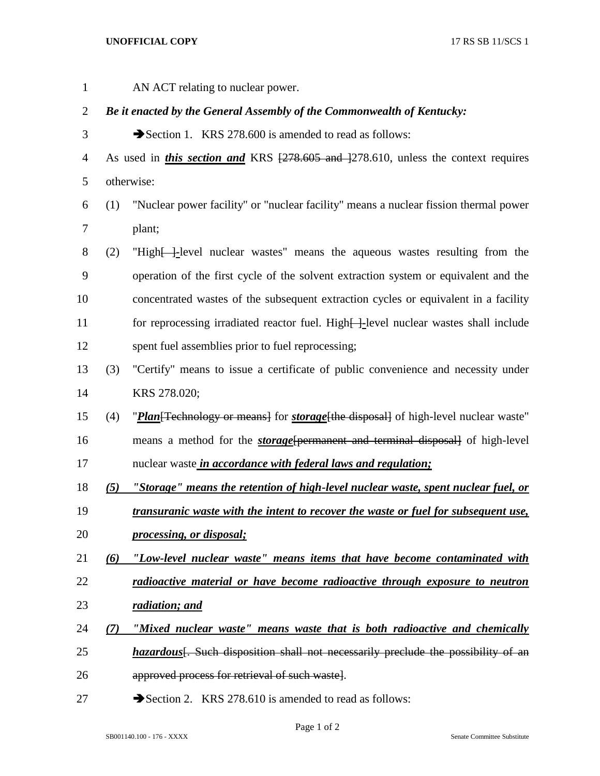## **UNOFFICIAL COPY** 17 RS SB 11/SCS 1

 AN ACT relating to nuclear power. *Be it enacted by the General Assembly of the Commonwealth of Kentucky:* 3 Section 1. KRS 278.600 is amended to read as follows: 4 As used in *this section and* KRS  $\left[\frac{278.605 \text{ and } 278.610}{278.610}\right]$  unless the context requires otherwise: (1) "Nuclear power facility" or "nuclear facility" means a nuclear fission thermal power plant; (2) "High[ ]*-*level nuclear wastes" means the aqueous wastes resulting from the operation of the first cycle of the solvent extraction system or equivalent and the concentrated wastes of the subsequent extraction cycles or equivalent in a facility 11 for reprocessing irradiated reactor fuel. High<del>[ ]</del>-level nuclear wastes shall include spent fuel assemblies prior to fuel reprocessing; (3) "Certify" means to issue a certificate of public convenience and necessity under KRS 278.020; (4) "*Plan*[Technology or means] for *storage*[the disposal] of high-level nuclear waste" means a method for the *storage*[permanent and terminal disposal] of high-level nuclear waste *in accordance with federal laws and regulation; (5) "Storage" means the retention of high-level nuclear waste, spent nuclear fuel, or transuranic waste with the intent to recover the waste or fuel for subsequent use, processing, or disposal; (6) "Low-level nuclear waste" means items that have become contaminated with radioactive material or have become radioactive through exposure to neutron radiation; and (7) "Mixed nuclear waste" means waste that is both radioactive and chemically hazardous*<sup>[</sup>. Such disposition shall not necessarily preclude the possibility of an approved process for retrieval of such waste]. 27 Section 2. KRS 278.610 is amended to read as follows:

Page 1 of 2